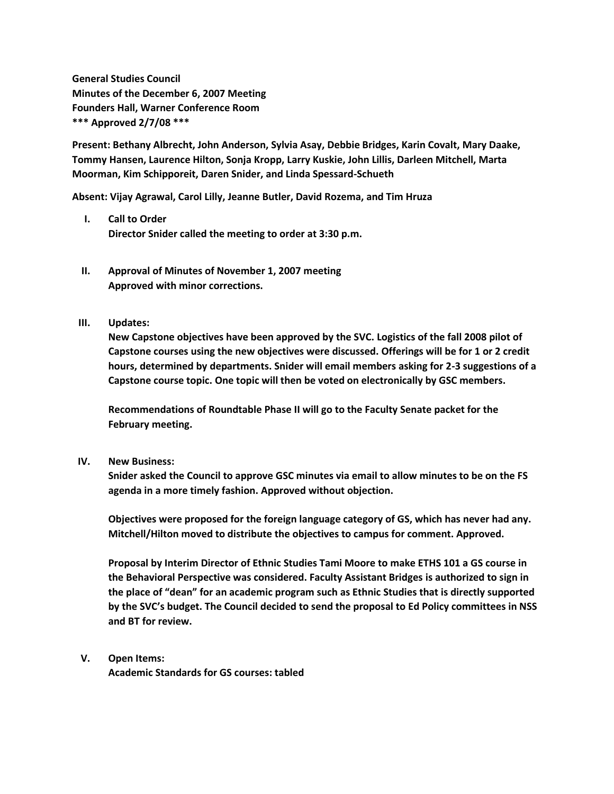**General Studies Council Minutes of the December 6, 2007 Meeting Founders Hall, Warner Conference Room \*\*\* Approved 2/7/08 \*\*\***

**Present: Bethany Albrecht, John Anderson, Sylvia Asay, Debbie Bridges, Karin Covalt, Mary Daake, Tommy Hansen, Laurence Hilton, Sonja Kropp, Larry Kuskie, John Lillis, Darleen Mitchell, Marta Moorman, Kim Schipporeit, Daren Snider, and Linda Spessard-Schueth**

**Absent: Vijay Agrawal, Carol Lilly, Jeanne Butler, David Rozema, and Tim Hruza**

- **I. Call to Order Director Snider called the meeting to order at 3:30 p.m.**
- **II. Approval of Minutes of November 1, 2007 meeting Approved with minor corrections.**
- **III. Updates:**

**New Capstone objectives have been approved by the SVC. Logistics of the fall 2008 pilot of Capstone courses using the new objectives were discussed. Offerings will be for 1 or 2 credit hours, determined by departments. Snider will email members asking for 2-3 suggestions of a Capstone course topic. One topic will then be voted on electronically by GSC members.**

**Recommendations of Roundtable Phase II will go to the Faculty Senate packet for the February meeting.**

## **IV. New Business:**

**Snider asked the Council to approve GSC minutes via email to allow minutes to be on the FS agenda in a more timely fashion. Approved without objection.**

**Objectives were proposed for the foreign language category of GS, which has never had any. Mitchell/Hilton moved to distribute the objectives to campus for comment. Approved.**

**Proposal by Interim Director of Ethnic Studies Tami Moore to make ETHS 101 a GS course in the Behavioral Perspective was considered. Faculty Assistant Bridges is authorized to sign in the place of "dean" for an academic program such as Ethnic Studies that is directly supported by the SVC's budget. The Council decided to send the proposal to Ed Policy committees in NSS and BT for review.**

## **V. Open Items:**

**Academic Standards for GS courses: tabled**